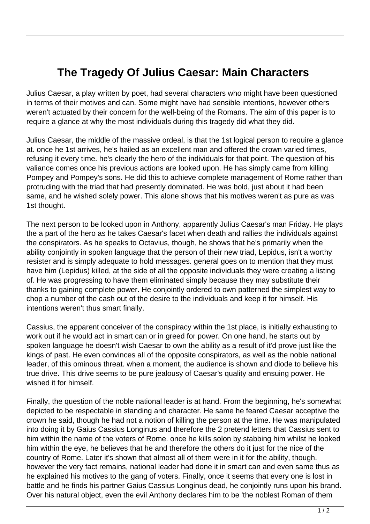## **The Tragedy Of Julius Caesar: Main Characters**

Julius Caesar, a play written by poet, had several characters who might have been questioned in terms of their motives and can. Some might have had sensible intentions, however others weren't actuated by their concern for the well-being of the Romans. The aim of this paper is to require a glance at why the most individuals during this tragedy did what they did.

Julius Caesar, the middle of the massive ordeal, is that the 1st logical person to require a glance at. once he 1st arrives, he's hailed as an excellent man and offered the crown varied times, refusing it every time. he's clearly the hero of the individuals for that point. The question of his valiance comes once his previous actions are looked upon. He has simply came from killing Pompey and Pompey's sons. He did this to achieve complete management of Rome rather than protruding with the triad that had presently dominated. He was bold, just about it had been same, and he wished solely power. This alone shows that his motives weren't as pure as was 1st thought.

The next person to be looked upon in Anthony, apparently Julius Caesar's man Friday. He plays the a part of the hero as he takes Caesar's facet when death and rallies the individuals against the conspirators. As he speaks to Octavius, though, he shows that he's primarily when the ability conjointly in spoken language that the person of their new triad, Lepidus, isn't a worthy resister and is simply adequate to hold messages. general goes on to mention that they must have him (Lepidus) killed, at the side of all the opposite individuals they were creating a listing of. He was progressing to have them eliminated simply because they may substitute their thanks to gaining complete power. He conjointly ordered to own patterned the simplest way to chop a number of the cash out of the desire to the individuals and keep it for himself. His intentions weren't thus smart finally.

Cassius, the apparent conceiver of the conspiracy within the 1st place, is initially exhausting to work out if he would act in smart can or in greed for power. On one hand, he starts out by spoken language he doesn't wish Caesar to own the ability as a result of it'd prove just like the kings of past. He even convinces all of the opposite conspirators, as well as the noble national leader, of this ominous threat. when a moment, the audience is shown and diode to believe his true drive. This drive seems to be pure jealousy of Caesar's quality and ensuing power. He wished it for himself.

Finally, the question of the noble national leader is at hand. From the beginning, he's somewhat depicted to be respectable in standing and character. He same he feared Caesar acceptive the crown he said, though he had not a notion of killing the person at the time. He was manipulated into doing it by Gaius Cassius Longinus and therefore the 2 pretend letters that Cassius sent to him within the name of the voters of Rome. once he kills solon by stabbing him whilst he looked him within the eye, he believes that he and therefore the others do it just for the nice of the country of Rome. Later it's shown that almost all of them were in it for the ability, though. however the very fact remains, national leader had done it in smart can and even same thus as he explained his motives to the gang of voters. Finally, once it seems that every one is lost in battle and he finds his partner Gaius Cassius Longinus dead, he conjointly runs upon his brand. Over his natural object, even the evil Anthony declares him to be 'the noblest Roman of them